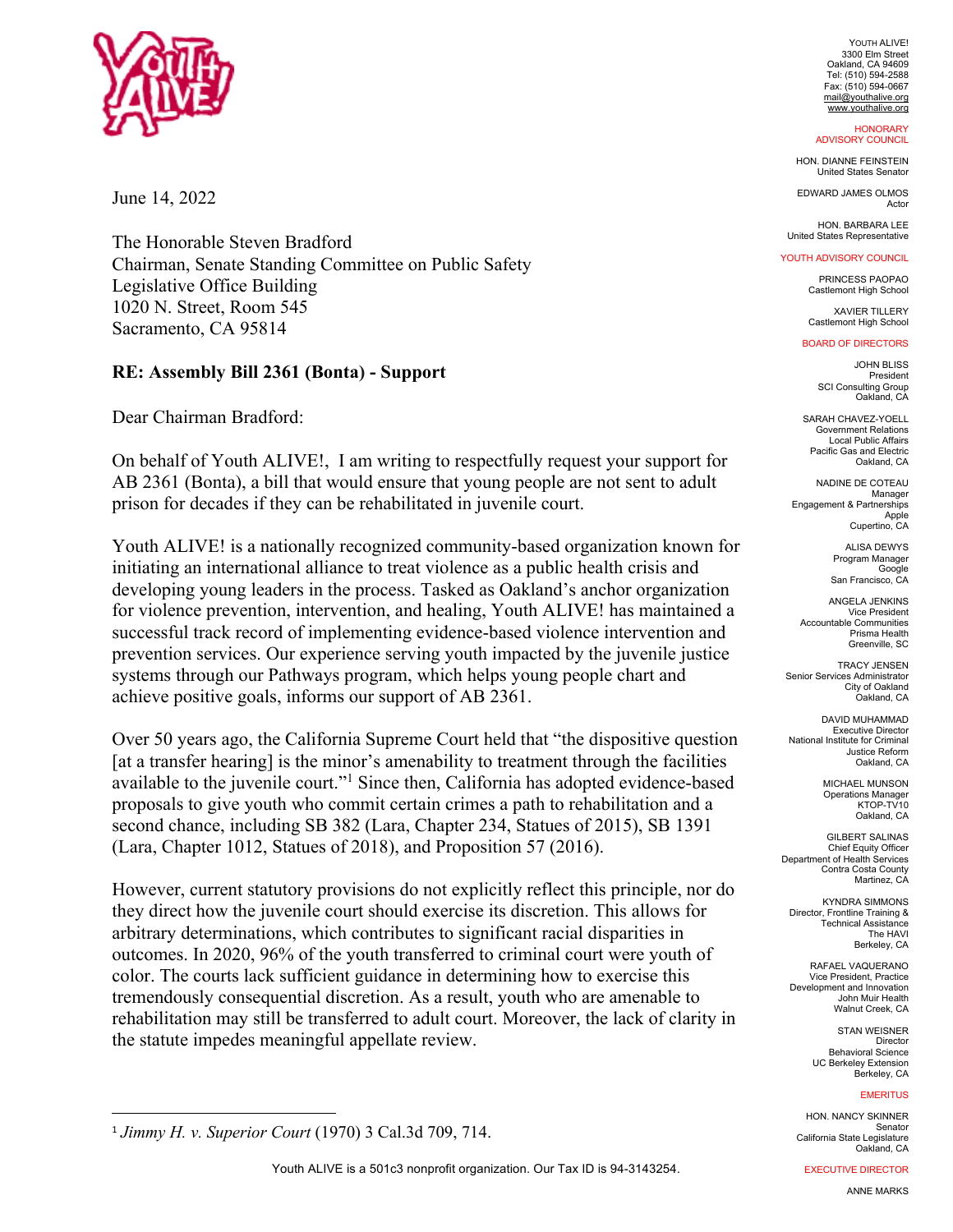

June 14, 2022

The Honorable Steven Bradford Chairman, Senate Standing Committee on Public Safety Legislative Office Building 1020 N. Street, Room 545 Sacramento, CA 95814

# **RE: Assembly Bill 2361 (Bonta) - Support**

Dear Chairman Bradford:

On behalf of Youth ALIVE!, I am writing to respectfully request your support for AB 2361 (Bonta), a bill that would ensure that young people are not sent to adult prison for decades if they can be rehabilitated in juvenile court.

Youth ALIVE! is a nationally recognized community-based organization known for initiating an international alliance to treat violence as a public health crisis and developing young leaders in the process. Tasked as Oakland's anchor organization for violence prevention, intervention, and healing, Youth ALIVE! has maintained a successful track record of implementing evidence-based violence intervention and prevention services. Our experience serving youth impacted by the juvenile justice systems through our Pathways program, which helps young people chart and achieve positive goals, informs our support of AB 2361.

Over 50 years ago, the California Supreme Court held that "the dispositive question [at a transfer hearing] is the minor's amenability to treatment through the facilities available to the juvenile court."1 Since then, California has adopted evidence-based proposals to give youth who commit certain crimes a path to rehabilitation and a second chance, including SB 382 (Lara, Chapter 234, Statues of 2015), SB 1391 (Lara, Chapter 1012, Statues of 2018), and Proposition 57 (2016).

However, current statutory provisions do not explicitly reflect this principle, nor do they direct how the juvenile court should exercise its discretion. This allows for arbitrary determinations, which contributes to significant racial disparities in outcomes. In 2020, 96% of the youth transferred to criminal court were youth of color. The courts lack sufficient guidance in determining how to exercise this tremendously consequential discretion. As a result, youth who are amenable to rehabilitation may still be transferred to adult court. Moreover, the lack of clarity in the statute impedes meaningful appellate review.

YOUTH ALIVE! 3300 Elm Street Oakland, CA 94609 Tel: (510) 594-2588 Fax: (510) 594-0667 mail@youthalive.org

#### www.youthalive.org **HONORARY** ADVISORY COUNCIL

HON. DIANNE FEINSTEIN United States Senator

EDWARD JAMES OLMOS Actor

HON. BARBARA LEE United States Representative

## YOUTH ADVISORY COUNCIL

PRINCESS PAOPAO Castlemont High School

XAVIER TILLERY Castlemont High School

#### BOARD OF DIRECTORS

JOHN BLISS President SCI Consulting Group Oakland, CA

SARAH CHAVEZ-YOELL Government Relations Local Public Affairs Pacific Gas and Electric Oakland, CA

NADINE DE COTEAU Manager Engagement & Partnerships Apple Cupertino, CA

> ALISA DEWYS Program Manager Google San Francisco, CA

ANGELA JENKINS Vice President Accountable Communities Prisma Health Greenville, SC

TRACY JENSEN Senior Services Administrator City of Oakland Oakland, CA

DAVID MUHAMMAD **Executive Director** National Institute for Criminal Justice Reform Oakland, CA

> MICHAEL MUNSON **Operations Manager** KTOP-TV10 Oakland, CA

GILBERT SALINAS Chief Equity Officer Department of Health Services Contra Costa County Martinez, CA

KYNDRA SIMMONS Director, Frontline Training & Technical Assistance The HAVI Berkeley, CA

RAFAEL VAQUERANO Vice President, Practice Development and Innovation John Muir Health Walnut Creek, CA

> STAN WEISNER Director Behavioral Science UC Berkeley Extension Berkeley, CA

## **EMERITUS**

HON. NANCY SKINNER Senator California State Legislature Oakland, CA

EXECUTIVE DIRECTOR

ANNE MARKS

<sup>1</sup> *Jimmy H. v. Superior Court* (1970) 3 Cal.3d 709, 714.